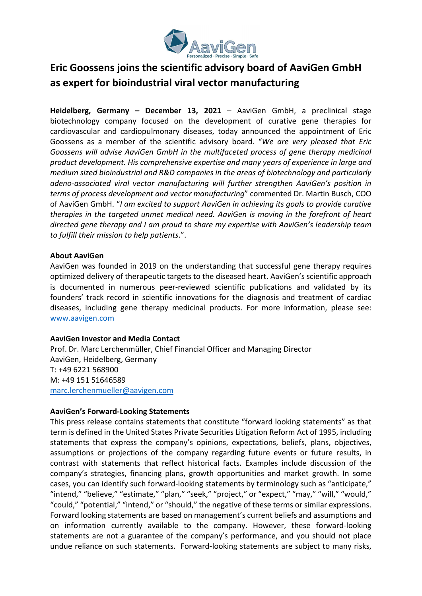

## Eric Goossens joins the scientific advisory board of AaviGen GmbH as expert for bioindustrial viral vector manufacturing

Heidelberg, Germany - December 13, 2021 - AaviGen GmbH, a preclinical stage biotechnology company focused on the development of curative gene therapies for cardiovascular and cardiopulmonary diseases, today announced the appointment of Eric Goossens as a member of the scientific advisory board. "We are very pleased that Eric Goossens will advise AaviGen GmbH in the multifaceted process of gene therapy medicinal product development. His comprehensive expertise and many years of experience in large and medium sized bioindustrial and R&D companies in the areas of biotechnology and particularly adeno-associated viral vector manufacturing will further strengthen AaviGen's position in terms of process development and vector manufacturing" commented Dr. Martin Busch, COO of AaviGen GmbH. "I am excited to support AaviGen in achieving its goals to provide curative therapies in the targeted unmet medical need. AaviGen is moving in the forefront of heart directed gene therapy and I am proud to share my expertise with AaviGen's leadership team to fulfill their mission to help patients.".

## About AaviGen

AaviGen was founded in 2019 on the understanding that successful gene therapy requires optimized delivery of therapeutic targets to the diseased heart. AaviGen's scientific approach is documented in numerous peer-reviewed scientific publications and validated by its founders' track record in scientific innovations for the diagnosis and treatment of cardiac diseases, including gene therapy medicinal products. For more information, please see: www.aavigen.com

## AaviGen Investor and Media Contact

Prof. Dr. Marc Lerchenmüller, Chief Financial Officer and Managing Director AaviGen, Heidelberg, Germany T: +49 6221 568900 M: +49 151 51646589 marc.lerchenmueller@aavigen.com

## AaviGen's Forward-Looking Statements

This press release contains statements that constitute "forward looking statements" as that term is defined in the United States Private Securities Litigation Reform Act of 1995, including statements that express the company's opinions, expectations, beliefs, plans, objectives, assumptions or projections of the company regarding future events or future results, in contrast with statements that reflect historical facts. Examples include discussion of the company's strategies, financing plans, growth opportunities and market growth. In some cases, you can identify such forward-looking statements by terminology such as "anticipate," "intend," "believe," "estimate," "plan," "seek," "project," or "expect," "may," "will," "would," "could," "potential," "intend," or "should," the negative of these terms or similar expressions. Forward looking statements are based on management's current beliefs and assumptions and on information currently available to the company. However, these forward-looking statements are not a guarantee of the company's performance, and you should not place undue reliance on such statements. Forward-looking statements are subject to many risks,